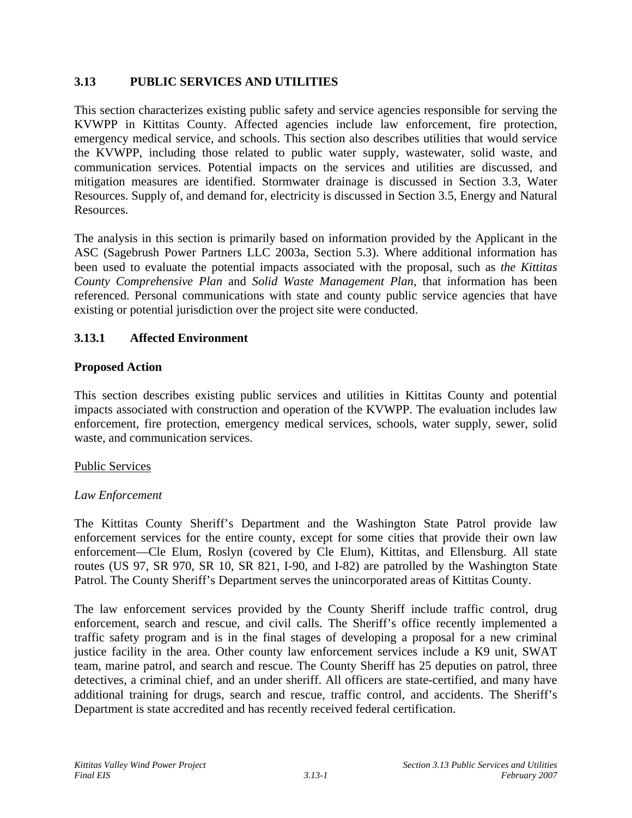## **3.13 PUBLIC SERVICES AND UTILITIES**

This section characterizes existing public safety and service agencies responsible for serving the KVWPP in Kittitas County. Affected agencies include law enforcement, fire protection, emergency medical service, and schools. This section also describes utilities that would service the KVWPP, including those related to public water supply, wastewater, solid waste, and communication services. Potential impacts on the services and utilities are discussed, and mitigation measures are identified. Stormwater drainage is discussed in Section 3.3, Water Resources. Supply of, and demand for, electricity is discussed in Section 3.5, Energy and Natural Resources.

The analysis in this section is primarily based on information provided by the Applicant in the ASC (Sagebrush Power Partners LLC 2003a, Section 5.3). Where additional information has been used to evaluate the potential impacts associated with the proposal, such as *the Kittitas County Comprehensive Plan* and *Solid Waste Management Plan*, that information has been referenced. Personal communications with state and county public service agencies that have existing or potential jurisdiction over the project site were conducted.

# **3.13.1 Affected Environment**

## **Proposed Action**

This section describes existing public services and utilities in Kittitas County and potential impacts associated with construction and operation of the KVWPP. The evaluation includes law enforcement, fire protection, emergency medical services, schools, water supply, sewer, solid waste, and communication services.

## Public Services

## *Law Enforcement*

The Kittitas County Sheriff's Department and the Washington State Patrol provide law enforcement services for the entire county, except for some cities that provide their own law enforcement—Cle Elum, Roslyn (covered by Cle Elum), Kittitas, and Ellensburg. All state routes (US 97, SR 970, SR 10, SR 821, I-90, and I-82) are patrolled by the Washington State Patrol. The County Sheriff's Department serves the unincorporated areas of Kittitas County.

The law enforcement services provided by the County Sheriff include traffic control, drug enforcement, search and rescue, and civil calls. The Sheriff's office recently implemented a traffic safety program and is in the final stages of developing a proposal for a new criminal justice facility in the area. Other county law enforcement services include a K9 unit, SWAT team, marine patrol, and search and rescue. The County Sheriff has 25 deputies on patrol, three detectives, a criminal chief, and an under sheriff. All officers are state-certified, and many have additional training for drugs, search and rescue, traffic control, and accidents. The Sheriff's Department is state accredited and has recently received federal certification.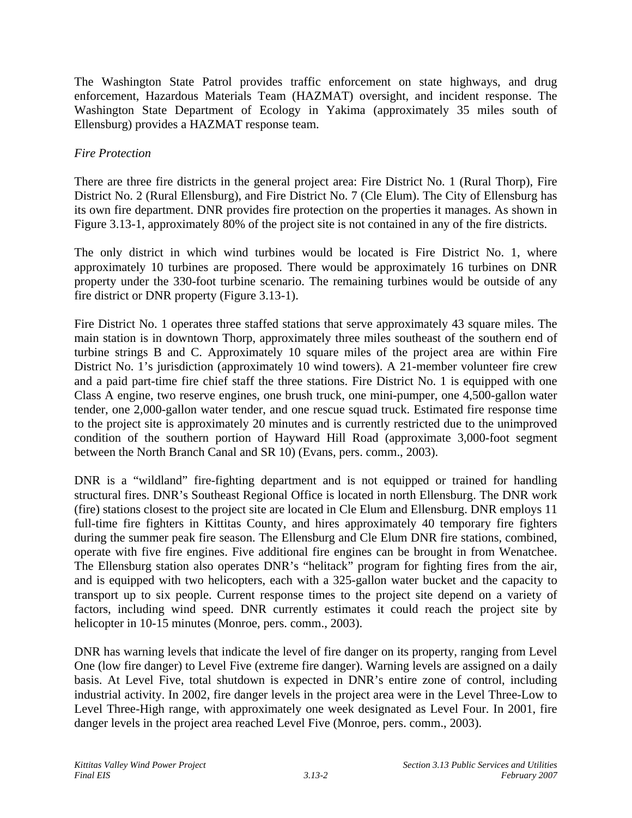The Washington State Patrol provides traffic enforcement on state highways, and drug enforcement, Hazardous Materials Team (HAZMAT) oversight, and incident response. The Washington State Department of Ecology in Yakima (approximately 35 miles south of Ellensburg) provides a HAZMAT response team.

## *Fire Protection*

There are three fire districts in the general project area: Fire District No. 1 (Rural Thorp), Fire District No. 2 (Rural Ellensburg), and Fire District No. 7 (Cle Elum). The City of Ellensburg has its own fire department. DNR provides fire protection on the properties it manages. As shown in Figure 3.13-1, approximately 80% of the project site is not contained in any of the fire districts.

The only district in which wind turbines would be located is Fire District No. 1, where approximately 10 turbines are proposed. There would be approximately 16 turbines on DNR property under the 330-foot turbine scenario. The remaining turbines would be outside of any fire district or DNR property (Figure 3.13-1).

Fire District No. 1 operates three staffed stations that serve approximately 43 square miles. The main station is in downtown Thorp, approximately three miles southeast of the southern end of turbine strings B and C. Approximately 10 square miles of the project area are within Fire District No. 1's jurisdiction (approximately 10 wind towers). A 21-member volunteer fire crew and a paid part-time fire chief staff the three stations. Fire District No. 1 is equipped with one Class A engine, two reserve engines, one brush truck, one mini-pumper, one 4,500-gallon water tender, one 2,000-gallon water tender, and one rescue squad truck. Estimated fire response time to the project site is approximately 20 minutes and is currently restricted due to the unimproved condition of the southern portion of Hayward Hill Road (approximate 3,000-foot segment between the North Branch Canal and SR 10) (Evans, pers. comm., 2003).

DNR is a "wildland" fire-fighting department and is not equipped or trained for handling structural fires. DNR's Southeast Regional Office is located in north Ellensburg. The DNR work (fire) stations closest to the project site are located in Cle Elum and Ellensburg. DNR employs 11 full-time fire fighters in Kittitas County, and hires approximately 40 temporary fire fighters during the summer peak fire season. The Ellensburg and Cle Elum DNR fire stations, combined, operate with five fire engines. Five additional fire engines can be brought in from Wenatchee. The Ellensburg station also operates DNR's "helitack" program for fighting fires from the air, and is equipped with two helicopters, each with a 325-gallon water bucket and the capacity to transport up to six people. Current response times to the project site depend on a variety of factors, including wind speed. DNR currently estimates it could reach the project site by helicopter in 10-15 minutes (Monroe, pers. comm., 2003).

DNR has warning levels that indicate the level of fire danger on its property, ranging from Level One (low fire danger) to Level Five (extreme fire danger). Warning levels are assigned on a daily basis. At Level Five, total shutdown is expected in DNR's entire zone of control, including industrial activity. In 2002, fire danger levels in the project area were in the Level Three-Low to Level Three-High range, with approximately one week designated as Level Four. In 2001, fire danger levels in the project area reached Level Five (Monroe, pers. comm., 2003).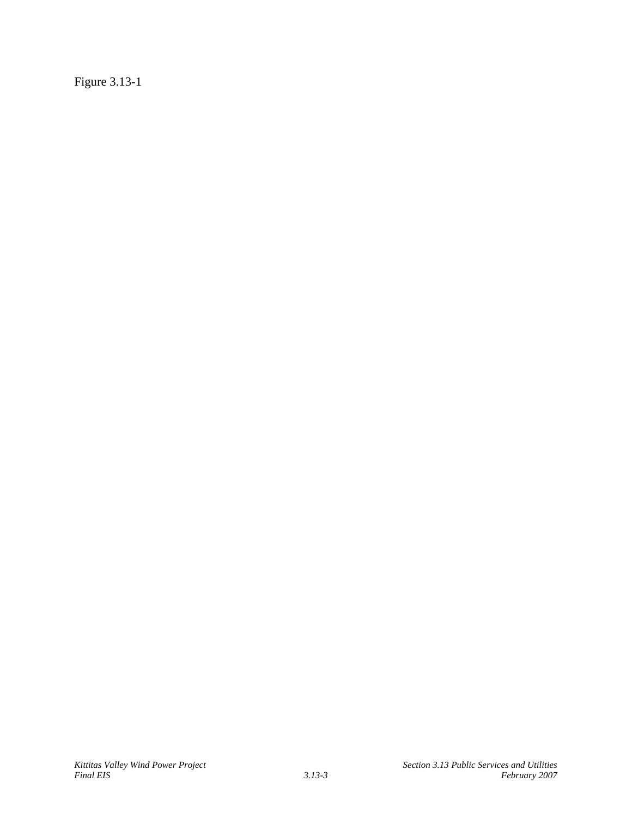Figure 3.13-1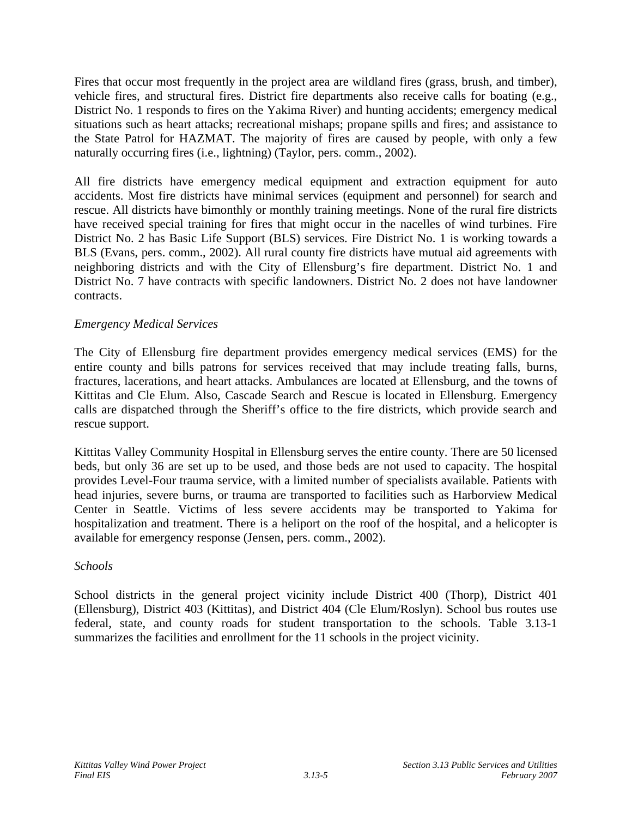Fires that occur most frequently in the project area are wildland fires (grass, brush, and timber), vehicle fires, and structural fires. District fire departments also receive calls for boating (e.g., District No. 1 responds to fires on the Yakima River) and hunting accidents; emergency medical situations such as heart attacks; recreational mishaps; propane spills and fires; and assistance to the State Patrol for HAZMAT. The majority of fires are caused by people, with only a few naturally occurring fires (i.e., lightning) (Taylor, pers. comm., 2002).

All fire districts have emergency medical equipment and extraction equipment for auto accidents. Most fire districts have minimal services (equipment and personnel) for search and rescue. All districts have bimonthly or monthly training meetings. None of the rural fire districts have received special training for fires that might occur in the nacelles of wind turbines. Fire District No. 2 has Basic Life Support (BLS) services. Fire District No. 1 is working towards a BLS (Evans, pers. comm., 2002). All rural county fire districts have mutual aid agreements with neighboring districts and with the City of Ellensburg's fire department. District No. 1 and District No. 7 have contracts with specific landowners. District No. 2 does not have landowner contracts.

## *Emergency Medical Services*

The City of Ellensburg fire department provides emergency medical services (EMS) for the entire county and bills patrons for services received that may include treating falls, burns, fractures, lacerations, and heart attacks. Ambulances are located at Ellensburg, and the towns of Kittitas and Cle Elum. Also, Cascade Search and Rescue is located in Ellensburg. Emergency calls are dispatched through the Sheriff's office to the fire districts, which provide search and rescue support.

Kittitas Valley Community Hospital in Ellensburg serves the entire county. There are 50 licensed beds, but only 36 are set up to be used, and those beds are not used to capacity. The hospital provides Level-Four trauma service, with a limited number of specialists available. Patients with head injuries, severe burns, or trauma are transported to facilities such as Harborview Medical Center in Seattle. Victims of less severe accidents may be transported to Yakima for hospitalization and treatment. There is a heliport on the roof of the hospital, and a helicopter is available for emergency response (Jensen, pers. comm., 2002).

## *Schools*

School districts in the general project vicinity include District 400 (Thorp), District 401 (Ellensburg), District 403 (Kittitas), and District 404 (Cle Elum/Roslyn). School bus routes use federal, state, and county roads for student transportation to the schools. Table 3.13-1 summarizes the facilities and enrollment for the 11 schools in the project vicinity.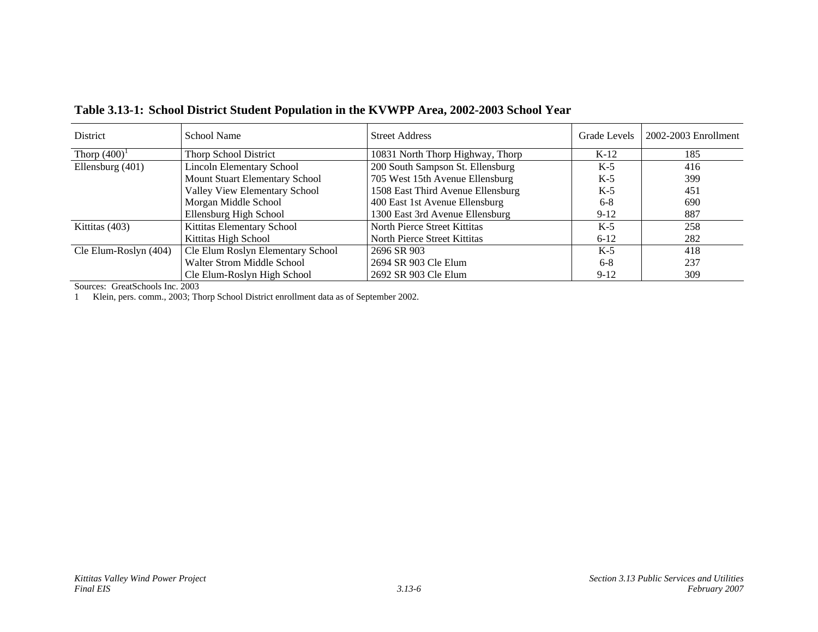| <b>District</b>       | School Name                       | <b>Street Address</b>             | Grade Levels | 2002-2003 Enrollment |
|-----------------------|-----------------------------------|-----------------------------------|--------------|----------------------|
| Thorp $(400)^1$       | <b>Thorp School District</b>      | 10831 North Thorp Highway, Thorp  | $K-12$       | 185                  |
| Ellensburg (401)      | <b>Lincoln Elementary School</b>  | 200 South Sampson St. Ellensburg  | $K-5$        | 416                  |
|                       | Mount Stuart Elementary School    | 705 West 15th Avenue Ellensburg   | $K-5$        | 399                  |
|                       | Valley View Elementary School     | 1508 East Third Avenue Ellensburg | $K-5$        | 451                  |
|                       | Morgan Middle School              | 400 East 1st Avenue Ellensburg    | $6 - 8$      | 690                  |
|                       | Ellensburg High School            | 1300 East 3rd Avenue Ellensburg   | $9-12$       | 887                  |
| Kittitas (403)        | Kittitas Elementary School        | North Pierce Street Kittitas      | $K-5$        | 258                  |
|                       | Kittitas High School              | North Pierce Street Kittitas      | $6 - 12$     | 282                  |
| Cle Elum-Roslyn (404) | Cle Elum Roslyn Elementary School | 2696 SR 903                       | $K-5$        | 418                  |
|                       | Walter Strom Middle School        | 2694 SR 903 Cle Elum              | $6 - 8$      | 237                  |
|                       | Cle Elum-Roslyn High School       | 2692 SR 903 Cle Elum              | $9-12$       | 309                  |

**Table 3.13-1: School District Student Population in the KVWPP Area, 2002-2003 School Year** 

Sources: GreatSchools Inc. 2003

1 Klein, pers. comm., 2003; Thorp School District enrollment data as of September 2002.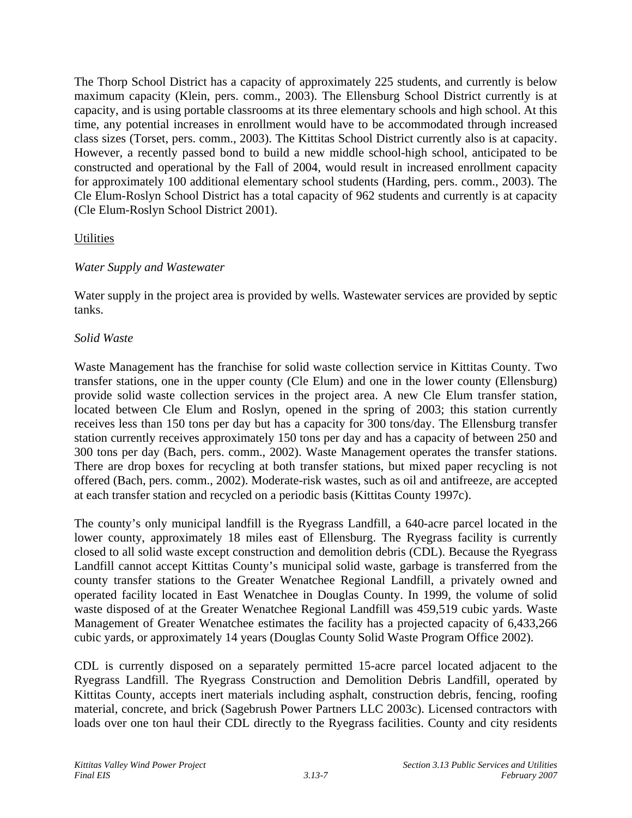The Thorp School District has a capacity of approximately 225 students, and currently is below maximum capacity (Klein, pers. comm., 2003). The Ellensburg School District currently is at capacity, and is using portable classrooms at its three elementary schools and high school. At this time, any potential increases in enrollment would have to be accommodated through increased class sizes (Torset, pers. comm., 2003). The Kittitas School District currently also is at capacity. However, a recently passed bond to build a new middle school-high school, anticipated to be constructed and operational by the Fall of 2004, would result in increased enrollment capacity for approximately 100 additional elementary school students (Harding, pers. comm., 2003). The Cle Elum-Roslyn School District has a total capacity of 962 students and currently is at capacity (Cle Elum-Roslyn School District 2001).

## **Utilities**

# *Water Supply and Wastewater*

Water supply in the project area is provided by wells. Wastewater services are provided by septic tanks.

# *Solid Waste*

Waste Management has the franchise for solid waste collection service in Kittitas County. Two transfer stations, one in the upper county (Cle Elum) and one in the lower county (Ellensburg) provide solid waste collection services in the project area. A new Cle Elum transfer station, located between Cle Elum and Roslyn, opened in the spring of 2003; this station currently receives less than 150 tons per day but has a capacity for 300 tons/day. The Ellensburg transfer station currently receives approximately 150 tons per day and has a capacity of between 250 and 300 tons per day (Bach, pers. comm., 2002). Waste Management operates the transfer stations. There are drop boxes for recycling at both transfer stations, but mixed paper recycling is not offered (Bach, pers. comm., 2002). Moderate-risk wastes, such as oil and antifreeze, are accepted at each transfer station and recycled on a periodic basis (Kittitas County 1997c).

The county's only municipal landfill is the Ryegrass Landfill, a 640-acre parcel located in the lower county, approximately 18 miles east of Ellensburg. The Ryegrass facility is currently closed to all solid waste except construction and demolition debris (CDL). Because the Ryegrass Landfill cannot accept Kittitas County's municipal solid waste, garbage is transferred from the county transfer stations to the Greater Wenatchee Regional Landfill, a privately owned and operated facility located in East Wenatchee in Douglas County. In 1999, the volume of solid waste disposed of at the Greater Wenatchee Regional Landfill was 459,519 cubic yards. Waste Management of Greater Wenatchee estimates the facility has a projected capacity of 6,433,266 cubic yards, or approximately 14 years (Douglas County Solid Waste Program Office 2002).

CDL is currently disposed on a separately permitted 15-acre parcel located adjacent to the Ryegrass Landfill. The Ryegrass Construction and Demolition Debris Landfill, operated by Kittitas County, accepts inert materials including asphalt, construction debris, fencing, roofing material, concrete, and brick (Sagebrush Power Partners LLC 2003c). Licensed contractors with loads over one ton haul their CDL directly to the Ryegrass facilities. County and city residents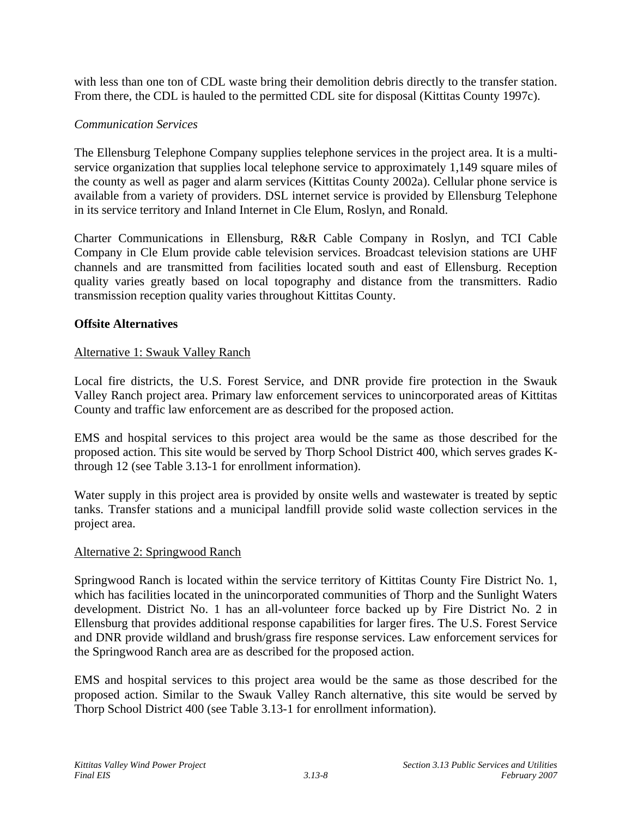with less than one ton of CDL waste bring their demolition debris directly to the transfer station. From there, the CDL is hauled to the permitted CDL site for disposal (Kittitas County 1997c).

### *Communication Services*

The Ellensburg Telephone Company supplies telephone services in the project area. It is a multiservice organization that supplies local telephone service to approximately 1,149 square miles of the county as well as pager and alarm services (Kittitas County 2002a). Cellular phone service is available from a variety of providers. DSL internet service is provided by Ellensburg Telephone in its service territory and Inland Internet in Cle Elum, Roslyn, and Ronald.

Charter Communications in Ellensburg, R&R Cable Company in Roslyn, and TCI Cable Company in Cle Elum provide cable television services. Broadcast television stations are UHF channels and are transmitted from facilities located south and east of Ellensburg. Reception quality varies greatly based on local topography and distance from the transmitters. Radio transmission reception quality varies throughout Kittitas County.

### **Offsite Alternatives**

### Alternative 1: Swauk Valley Ranch

Local fire districts, the U.S. Forest Service, and DNR provide fire protection in the Swauk Valley Ranch project area. Primary law enforcement services to unincorporated areas of Kittitas County and traffic law enforcement are as described for the proposed action.

EMS and hospital services to this project area would be the same as those described for the proposed action. This site would be served by Thorp School District 400, which serves grades Kthrough 12 (see Table 3.13-1 for enrollment information).

Water supply in this project area is provided by onsite wells and wastewater is treated by septic tanks. Transfer stations and a municipal landfill provide solid waste collection services in the project area.

#### Alternative 2: Springwood Ranch

Springwood Ranch is located within the service territory of Kittitas County Fire District No. 1, which has facilities located in the unincorporated communities of Thorp and the Sunlight Waters development. District No. 1 has an all-volunteer force backed up by Fire District No. 2 in Ellensburg that provides additional response capabilities for larger fires. The U.S. Forest Service and DNR provide wildland and brush/grass fire response services. Law enforcement services for the Springwood Ranch area are as described for the proposed action.

EMS and hospital services to this project area would be the same as those described for the proposed action. Similar to the Swauk Valley Ranch alternative, this site would be served by Thorp School District 400 (see Table 3.13-1 for enrollment information).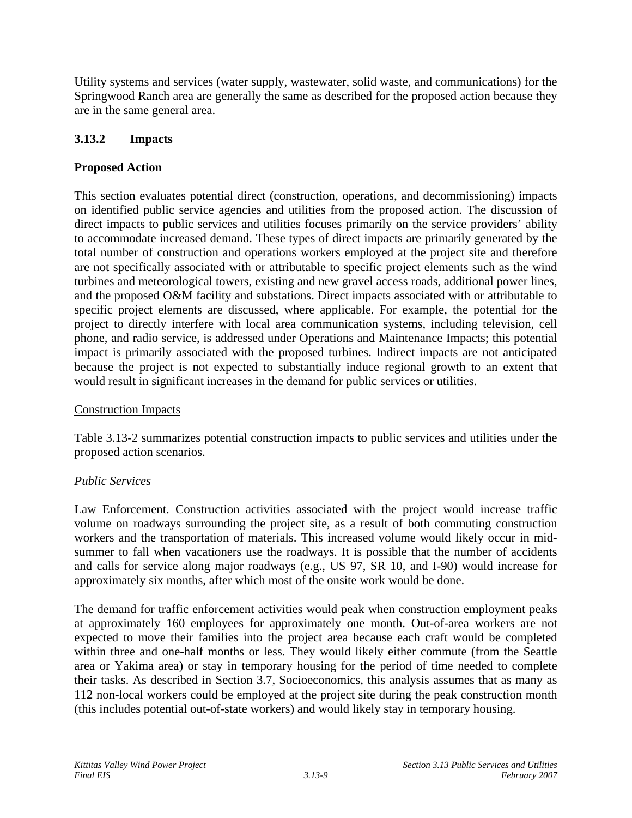Utility systems and services (water supply, wastewater, solid waste, and communications) for the Springwood Ranch area are generally the same as described for the proposed action because they are in the same general area.

# **3.13.2 Impacts**

# **Proposed Action**

This section evaluates potential direct (construction, operations, and decommissioning) impacts on identified public service agencies and utilities from the proposed action. The discussion of direct impacts to public services and utilities focuses primarily on the service providers' ability to accommodate increased demand. These types of direct impacts are primarily generated by the total number of construction and operations workers employed at the project site and therefore are not specifically associated with or attributable to specific project elements such as the wind turbines and meteorological towers, existing and new gravel access roads, additional power lines, and the proposed O&M facility and substations. Direct impacts associated with or attributable to specific project elements are discussed, where applicable. For example, the potential for the project to directly interfere with local area communication systems, including television, cell phone, and radio service, is addressed under Operations and Maintenance Impacts; this potential impact is primarily associated with the proposed turbines. Indirect impacts are not anticipated because the project is not expected to substantially induce regional growth to an extent that would result in significant increases in the demand for public services or utilities.

## Construction Impacts

Table 3.13-2 summarizes potential construction impacts to public services and utilities under the proposed action scenarios.

## *Public Services*

Law Enforcement. Construction activities associated with the project would increase traffic volume on roadways surrounding the project site, as a result of both commuting construction workers and the transportation of materials. This increased volume would likely occur in midsummer to fall when vacationers use the roadways. It is possible that the number of accidents and calls for service along major roadways (e.g., US 97, SR 10, and I-90) would increase for approximately six months, after which most of the onsite work would be done.

The demand for traffic enforcement activities would peak when construction employment peaks at approximately 160 employees for approximately one month. Out-of-area workers are not expected to move their families into the project area because each craft would be completed within three and one-half months or less. They would likely either commute (from the Seattle area or Yakima area) or stay in temporary housing for the period of time needed to complete their tasks. As described in Section 3.7, Socioeconomics, this analysis assumes that as many as 112 non-local workers could be employed at the project site during the peak construction month (this includes potential out-of-state workers) and would likely stay in temporary housing.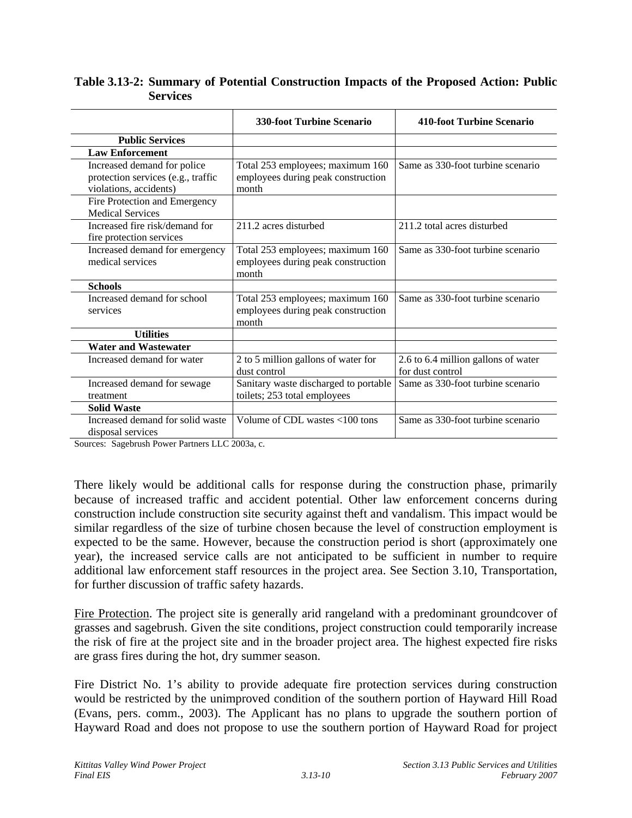| Table 3.13-2: Summary of Potential Construction Impacts of the Proposed Action: Public |                 |  |  |  |  |
|----------------------------------------------------------------------------------------|-----------------|--|--|--|--|
|                                                                                        | <b>Services</b> |  |  |  |  |

|                                                                                             | <b>330-foot Turbine Scenario</b>                                                | <b>410-foot Turbine Scenario</b>                        |
|---------------------------------------------------------------------------------------------|---------------------------------------------------------------------------------|---------------------------------------------------------|
| <b>Public Services</b>                                                                      |                                                                                 |                                                         |
| <b>Law Enforcement</b>                                                                      |                                                                                 |                                                         |
| Increased demand for police<br>protection services (e.g., traffic<br>violations, accidents) | Total 253 employees; maximum 160<br>employees during peak construction<br>month | Same as 330-foot turbine scenario                       |
| Fire Protection and Emergency<br><b>Medical Services</b>                                    |                                                                                 |                                                         |
| Increased fire risk/demand for<br>fire protection services                                  | 211.2 acres disturbed                                                           | 211.2 total acres disturbed                             |
| Increased demand for emergency<br>medical services                                          | Total 253 employees; maximum 160<br>employees during peak construction<br>month | Same as 330-foot turbine scenario                       |
| <b>Schools</b>                                                                              |                                                                                 |                                                         |
| Increased demand for school<br>services                                                     | Total 253 employees; maximum 160<br>employees during peak construction<br>month | Same as 330-foot turbine scenario                       |
| <b>Utilities</b>                                                                            |                                                                                 |                                                         |
| <b>Water and Wastewater</b>                                                                 |                                                                                 |                                                         |
| Increased demand for water                                                                  | 2 to 5 million gallons of water for<br>dust control                             | 2.6 to 6.4 million gallons of water<br>for dust control |
| Increased demand for sewage<br>treatment                                                    | Sanitary waste discharged to portable<br>toilets; 253 total employees           | Same as 330-foot turbine scenario                       |
| <b>Solid Waste</b>                                                                          |                                                                                 |                                                         |
| Increased demand for solid waste<br>disposal services                                       | Volume of CDL wastes <100 tons                                                  | Same as 330-foot turbine scenario                       |

Sources: Sagebrush Power Partners LLC 2003a, c.

There likely would be additional calls for response during the construction phase, primarily because of increased traffic and accident potential. Other law enforcement concerns during construction include construction site security against theft and vandalism. This impact would be similar regardless of the size of turbine chosen because the level of construction employment is expected to be the same. However, because the construction period is short (approximately one year), the increased service calls are not anticipated to be sufficient in number to require additional law enforcement staff resources in the project area. See Section 3.10, Transportation, for further discussion of traffic safety hazards.

Fire Protection. The project site is generally arid rangeland with a predominant groundcover of grasses and sagebrush. Given the site conditions, project construction could temporarily increase the risk of fire at the project site and in the broader project area. The highest expected fire risks are grass fires during the hot, dry summer season.

Fire District No. 1's ability to provide adequate fire protection services during construction would be restricted by the unimproved condition of the southern portion of Hayward Hill Road (Evans, pers. comm., 2003). The Applicant has no plans to upgrade the southern portion of Hayward Road and does not propose to use the southern portion of Hayward Road for project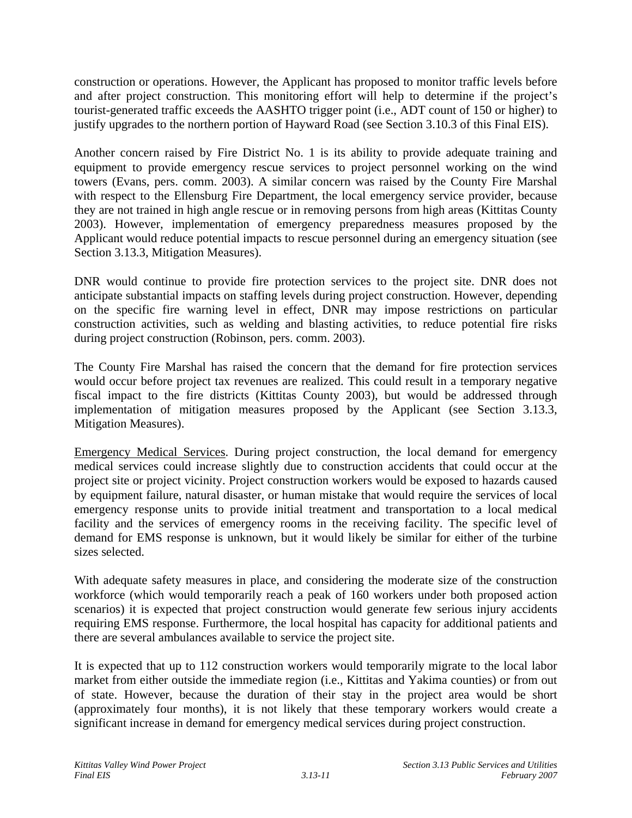construction or operations. However, the Applicant has proposed to monitor traffic levels before and after project construction. This monitoring effort will help to determine if the project's tourist-generated traffic exceeds the AASHTO trigger point (i.e., ADT count of 150 or higher) to justify upgrades to the northern portion of Hayward Road (see Section 3.10.3 of this Final EIS).

Another concern raised by Fire District No. 1 is its ability to provide adequate training and equipment to provide emergency rescue services to project personnel working on the wind towers (Evans, pers. comm. 2003). A similar concern was raised by the County Fire Marshal with respect to the Ellensburg Fire Department, the local emergency service provider, because they are not trained in high angle rescue or in removing persons from high areas (Kittitas County 2003). However, implementation of emergency preparedness measures proposed by the Applicant would reduce potential impacts to rescue personnel during an emergency situation (see Section 3.13.3, Mitigation Measures).

DNR would continue to provide fire protection services to the project site. DNR does not anticipate substantial impacts on staffing levels during project construction. However, depending on the specific fire warning level in effect, DNR may impose restrictions on particular construction activities, such as welding and blasting activities, to reduce potential fire risks during project construction (Robinson, pers. comm. 2003).

The County Fire Marshal has raised the concern that the demand for fire protection services would occur before project tax revenues are realized. This could result in a temporary negative fiscal impact to the fire districts (Kittitas County 2003), but would be addressed through implementation of mitigation measures proposed by the Applicant (see Section 3.13.3, Mitigation Measures).

Emergency Medical Services. During project construction, the local demand for emergency medical services could increase slightly due to construction accidents that could occur at the project site or project vicinity. Project construction workers would be exposed to hazards caused by equipment failure, natural disaster, or human mistake that would require the services of local emergency response units to provide initial treatment and transportation to a local medical facility and the services of emergency rooms in the receiving facility. The specific level of demand for EMS response is unknown, but it would likely be similar for either of the turbine sizes selected.

With adequate safety measures in place, and considering the moderate size of the construction workforce (which would temporarily reach a peak of 160 workers under both proposed action scenarios) it is expected that project construction would generate few serious injury accidents requiring EMS response. Furthermore, the local hospital has capacity for additional patients and there are several ambulances available to service the project site.

It is expected that up to 112 construction workers would temporarily migrate to the local labor market from either outside the immediate region (i.e., Kittitas and Yakima counties) or from out of state. However, because the duration of their stay in the project area would be short (approximately four months), it is not likely that these temporary workers would create a significant increase in demand for emergency medical services during project construction.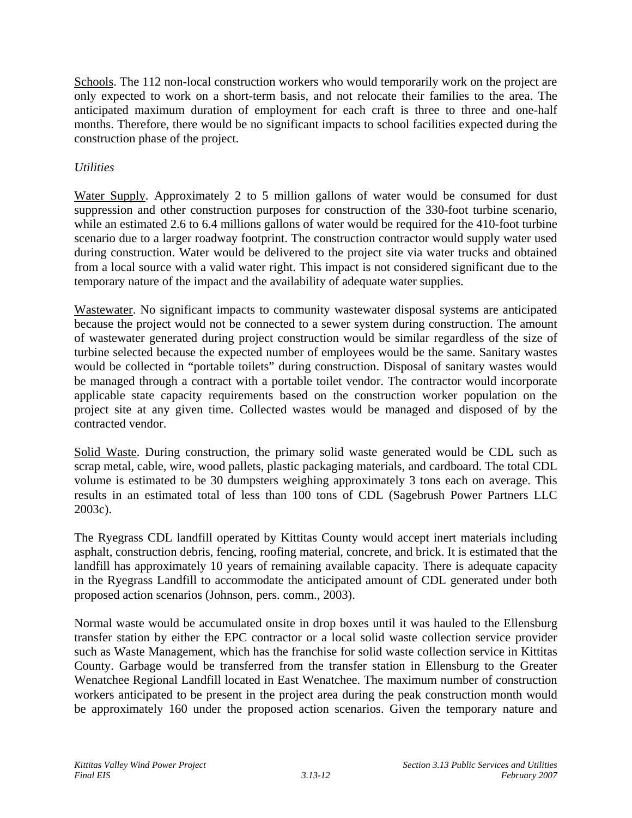Schools. The 112 non-local construction workers who would temporarily work on the project are only expected to work on a short-term basis, and not relocate their families to the area. The anticipated maximum duration of employment for each craft is three to three and one-half months. Therefore, there would be no significant impacts to school facilities expected during the construction phase of the project.

## *Utilities*

Water Supply. Approximately 2 to 5 million gallons of water would be consumed for dust suppression and other construction purposes for construction of the 330-foot turbine scenario, while an estimated 2.6 to 6.4 millions gallons of water would be required for the 410-foot turbine scenario due to a larger roadway footprint. The construction contractor would supply water used during construction. Water would be delivered to the project site via water trucks and obtained from a local source with a valid water right. This impact is not considered significant due to the temporary nature of the impact and the availability of adequate water supplies.

Wastewater. No significant impacts to community wastewater disposal systems are anticipated because the project would not be connected to a sewer system during construction. The amount of wastewater generated during project construction would be similar regardless of the size of turbine selected because the expected number of employees would be the same. Sanitary wastes would be collected in "portable toilets" during construction. Disposal of sanitary wastes would be managed through a contract with a portable toilet vendor. The contractor would incorporate applicable state capacity requirements based on the construction worker population on the project site at any given time. Collected wastes would be managed and disposed of by the contracted vendor.

Solid Waste. During construction, the primary solid waste generated would be CDL such as scrap metal, cable, wire, wood pallets, plastic packaging materials, and cardboard. The total CDL volume is estimated to be 30 dumpsters weighing approximately 3 tons each on average. This results in an estimated total of less than 100 tons of CDL (Sagebrush Power Partners LLC 2003c).

The Ryegrass CDL landfill operated by Kittitas County would accept inert materials including asphalt, construction debris, fencing, roofing material, concrete, and brick. It is estimated that the landfill has approximately 10 years of remaining available capacity. There is adequate capacity in the Ryegrass Landfill to accommodate the anticipated amount of CDL generated under both proposed action scenarios (Johnson, pers. comm., 2003).

Normal waste would be accumulated onsite in drop boxes until it was hauled to the Ellensburg transfer station by either the EPC contractor or a local solid waste collection service provider such as Waste Management, which has the franchise for solid waste collection service in Kittitas County. Garbage would be transferred from the transfer station in Ellensburg to the Greater Wenatchee Regional Landfill located in East Wenatchee. The maximum number of construction workers anticipated to be present in the project area during the peak construction month would be approximately 160 under the proposed action scenarios. Given the temporary nature and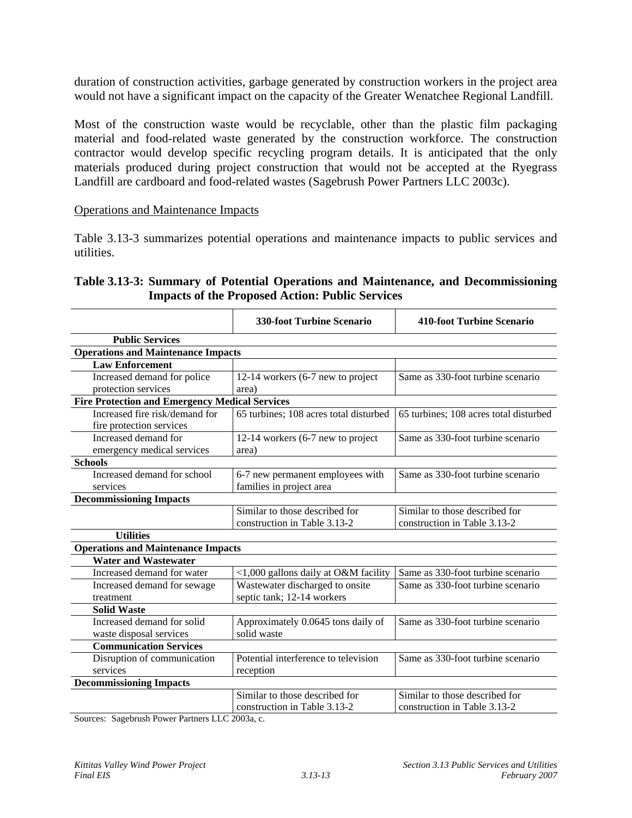duration of construction activities, garbage generated by construction workers in the project area would not have a significant impact on the capacity of the Greater Wenatchee Regional Landfill.

Most of the construction waste would be recyclable, other than the plastic film packaging material and food-related waste generated by the construction workforce. The construction contractor would develop specific recycling program details. It is anticipated that the only materials produced during project construction that would not be accepted at the Ryegrass Landfill are cardboard and food-related wastes (Sagebrush Power Partners LLC 2003c).

#### Operations and Maintenance Impacts

Table 3.13-3 summarizes potential operations and maintenance impacts to public services and utilities.

### **Table 3.13-3: Summary of Potential Operations and Maintenance, and Decommissioning Impacts of the Proposed Action: Public Services**

|                                                       | <b>330-foot Turbine Scenario</b>       | <b>410-foot Turbine Scenario</b>       |
|-------------------------------------------------------|----------------------------------------|----------------------------------------|
| <b>Public Services</b>                                |                                        |                                        |
| <b>Operations and Maintenance Impacts</b>             |                                        |                                        |
| <b>Law Enforcement</b>                                |                                        |                                        |
| Increased demand for police                           | 12-14 workers (6-7 new to project      | Same as 330-foot turbine scenario      |
| protection services                                   | area)                                  |                                        |
| <b>Fire Protection and Emergency Medical Services</b> |                                        |                                        |
| Increased fire risk/demand for                        | 65 turbines; 108 acres total disturbed | 65 turbines; 108 acres total disturbed |
| fire protection services                              |                                        |                                        |
| Increased demand for                                  | 12-14 workers (6-7 new to project      | Same as 330-foot turbine scenario      |
| emergency medical services                            | area)                                  |                                        |
| <b>Schools</b>                                        |                                        |                                        |
| Increased demand for school                           | 6-7 new permanent employees with       | Same as 330-foot turbine scenario      |
| services                                              | families in project area               |                                        |
| <b>Decommissioning Impacts</b>                        |                                        |                                        |
|                                                       | Similar to those described for         | Similar to those described for         |
|                                                       | construction in Table 3.13-2           | construction in Table 3.13-2           |
| <b>Utilities</b>                                      |                                        |                                        |
| <b>Operations and Maintenance Impacts</b>             |                                        |                                        |
| <b>Water and Wastewater</b>                           |                                        |                                        |
| Increased demand for water                            | <1,000 gallons daily at O&M facility   | Same as 330-foot turbine scenario      |
| Increased demand for sewage                           | Wastewater discharged to onsite        | Same as 330-foot turbine scenario      |
| treatment                                             | septic tank; 12-14 workers             |                                        |
| <b>Solid Waste</b>                                    |                                        |                                        |
| Increased demand for solid                            | Approximately 0.0645 tons daily of     | Same as 330-foot turbine scenario      |
| waste disposal services                               | solid waste                            |                                        |
| <b>Communication Services</b>                         |                                        |                                        |
| Disruption of communication                           | Potential interference to television   | Same as 330-foot turbine scenario      |
| services                                              | reception                              |                                        |
| <b>Decommissioning Impacts</b>                        |                                        |                                        |
|                                                       | Similar to those described for         | Similar to those described for         |
|                                                       | construction in Table 3.13-2           | construction in Table 3.13-2           |

Sources: Sagebrush Power Partners LLC 2003a, c.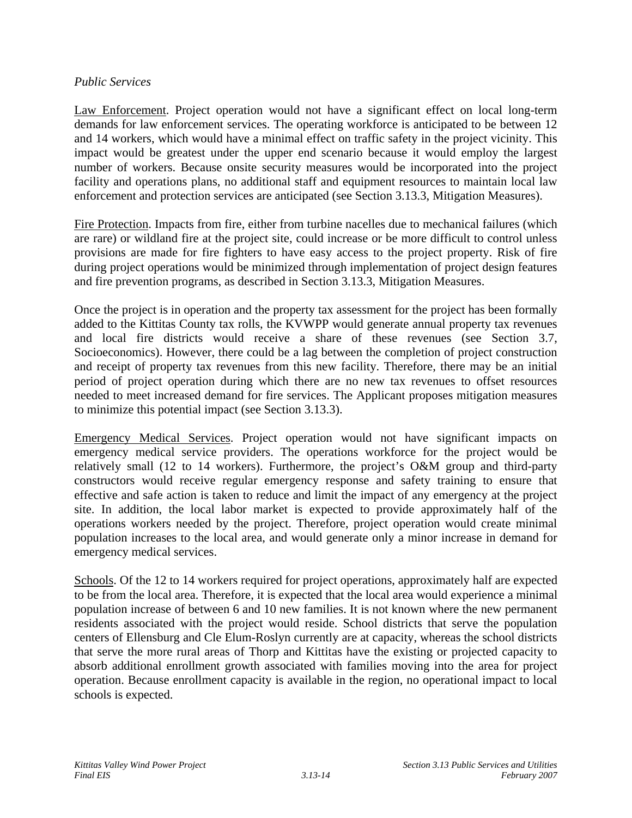### *Public Services*

Law Enforcement. Project operation would not have a significant effect on local long-term demands for law enforcement services. The operating workforce is anticipated to be between 12 and 14 workers, which would have a minimal effect on traffic safety in the project vicinity. This impact would be greatest under the upper end scenario because it would employ the largest number of workers. Because onsite security measures would be incorporated into the project facility and operations plans, no additional staff and equipment resources to maintain local law enforcement and protection services are anticipated (see Section 3.13.3, Mitigation Measures).

Fire Protection. Impacts from fire, either from turbine nacelles due to mechanical failures (which are rare) or wildland fire at the project site, could increase or be more difficult to control unless provisions are made for fire fighters to have easy access to the project property. Risk of fire during project operations would be minimized through implementation of project design features and fire prevention programs, as described in Section 3.13.3, Mitigation Measures.

Once the project is in operation and the property tax assessment for the project has been formally added to the Kittitas County tax rolls, the KVWPP would generate annual property tax revenues and local fire districts would receive a share of these revenues (see Section 3.7, Socioeconomics). However, there could be a lag between the completion of project construction and receipt of property tax revenues from this new facility. Therefore, there may be an initial period of project operation during which there are no new tax revenues to offset resources needed to meet increased demand for fire services. The Applicant proposes mitigation measures to minimize this potential impact (see Section 3.13.3).

Emergency Medical Services. Project operation would not have significant impacts on emergency medical service providers. The operations workforce for the project would be relatively small (12 to 14 workers). Furthermore, the project's O&M group and third-party constructors would receive regular emergency response and safety training to ensure that effective and safe action is taken to reduce and limit the impact of any emergency at the project site. In addition, the local labor market is expected to provide approximately half of the operations workers needed by the project. Therefore, project operation would create minimal population increases to the local area, and would generate only a minor increase in demand for emergency medical services.

Schools. Of the 12 to 14 workers required for project operations, approximately half are expected to be from the local area. Therefore, it is expected that the local area would experience a minimal population increase of between 6 and 10 new families. It is not known where the new permanent residents associated with the project would reside. School districts that serve the population centers of Ellensburg and Cle Elum-Roslyn currently are at capacity, whereas the school districts that serve the more rural areas of Thorp and Kittitas have the existing or projected capacity to absorb additional enrollment growth associated with families moving into the area for project operation. Because enrollment capacity is available in the region, no operational impact to local schools is expected.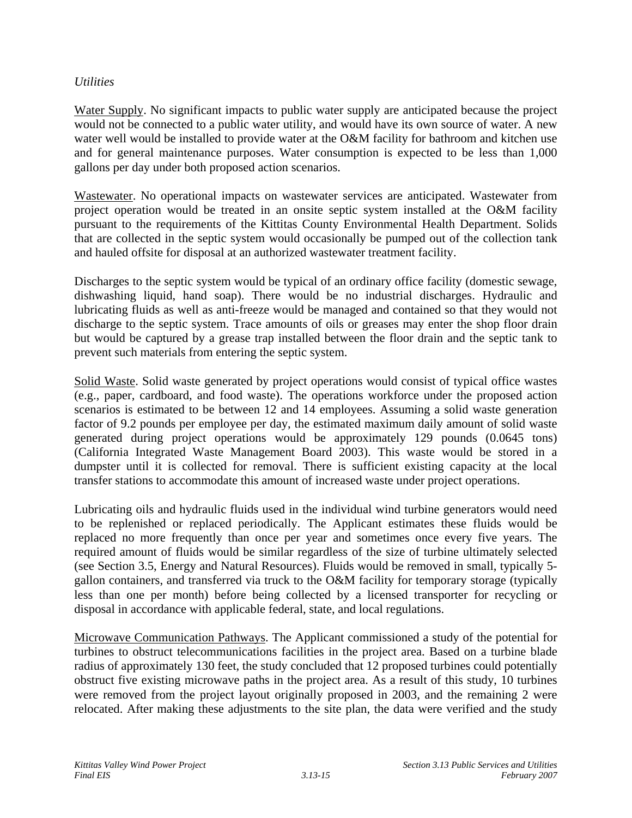### *Utilities*

Water Supply. No significant impacts to public water supply are anticipated because the project would not be connected to a public water utility, and would have its own source of water. A new water well would be installed to provide water at the O&M facility for bathroom and kitchen use and for general maintenance purposes. Water consumption is expected to be less than 1,000 gallons per day under both proposed action scenarios.

Wastewater. No operational impacts on wastewater services are anticipated. Wastewater from project operation would be treated in an onsite septic system installed at the O&M facility pursuant to the requirements of the Kittitas County Environmental Health Department. Solids that are collected in the septic system would occasionally be pumped out of the collection tank and hauled offsite for disposal at an authorized wastewater treatment facility.

Discharges to the septic system would be typical of an ordinary office facility (domestic sewage, dishwashing liquid, hand soap). There would be no industrial discharges. Hydraulic and lubricating fluids as well as anti-freeze would be managed and contained so that they would not discharge to the septic system. Trace amounts of oils or greases may enter the shop floor drain but would be captured by a grease trap installed between the floor drain and the septic tank to prevent such materials from entering the septic system.

Solid Waste. Solid waste generated by project operations would consist of typical office wastes (e.g., paper, cardboard, and food waste). The operations workforce under the proposed action scenarios is estimated to be between 12 and 14 employees. Assuming a solid waste generation factor of 9.2 pounds per employee per day, the estimated maximum daily amount of solid waste generated during project operations would be approximately 129 pounds (0.0645 tons) (California Integrated Waste Management Board 2003). This waste would be stored in a dumpster until it is collected for removal. There is sufficient existing capacity at the local transfer stations to accommodate this amount of increased waste under project operations.

Lubricating oils and hydraulic fluids used in the individual wind turbine generators would need to be replenished or replaced periodically. The Applicant estimates these fluids would be replaced no more frequently than once per year and sometimes once every five years. The required amount of fluids would be similar regardless of the size of turbine ultimately selected (see Section 3.5, Energy and Natural Resources). Fluids would be removed in small, typically 5 gallon containers, and transferred via truck to the O&M facility for temporary storage (typically less than one per month) before being collected by a licensed transporter for recycling or disposal in accordance with applicable federal, state, and local regulations.

Microwave Communication Pathways. The Applicant commissioned a study of the potential for turbines to obstruct telecommunications facilities in the project area. Based on a turbine blade radius of approximately 130 feet, the study concluded that 12 proposed turbines could potentially obstruct five existing microwave paths in the project area. As a result of this study, 10 turbines were removed from the project layout originally proposed in 2003, and the remaining 2 were relocated. After making these adjustments to the site plan, the data were verified and the study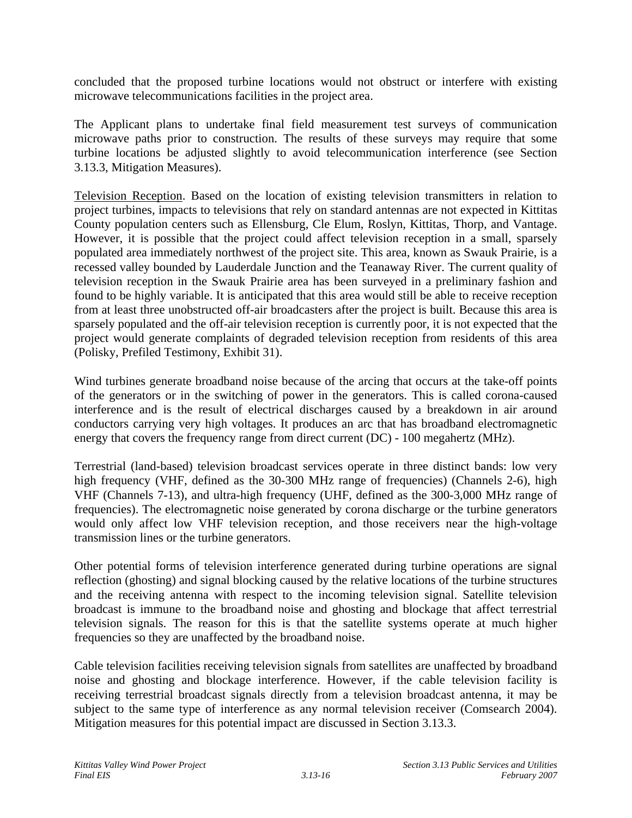concluded that the proposed turbine locations would not obstruct or interfere with existing microwave telecommunications facilities in the project area.

The Applicant plans to undertake final field measurement test surveys of communication microwave paths prior to construction. The results of these surveys may require that some turbine locations be adjusted slightly to avoid telecommunication interference (see Section 3.13.3, Mitigation Measures).

Television Reception. Based on the location of existing television transmitters in relation to project turbines, impacts to televisions that rely on standard antennas are not expected in Kittitas County population centers such as Ellensburg, Cle Elum, Roslyn, Kittitas, Thorp, and Vantage. However, it is possible that the project could affect television reception in a small, sparsely populated area immediately northwest of the project site. This area, known as Swauk Prairie, is a recessed valley bounded by Lauderdale Junction and the Teanaway River. The current quality of television reception in the Swauk Prairie area has been surveyed in a preliminary fashion and found to be highly variable. It is anticipated that this area would still be able to receive reception from at least three unobstructed off-air broadcasters after the project is built. Because this area is sparsely populated and the off-air television reception is currently poor, it is not expected that the project would generate complaints of degraded television reception from residents of this area (Polisky, Prefiled Testimony, Exhibit 31).

Wind turbines generate broadband noise because of the arcing that occurs at the take-off points of the generators or in the switching of power in the generators. This is called corona-caused interference and is the result of electrical discharges caused by a breakdown in air around conductors carrying very high voltages. It produces an arc that has broadband electromagnetic energy that covers the frequency range from direct current (DC) - 100 megahertz (MHz).

Terrestrial (land-based) television broadcast services operate in three distinct bands: low very high frequency (VHF, defined as the 30-300 MHz range of frequencies) (Channels 2-6), high VHF (Channels 7-13), and ultra-high frequency (UHF, defined as the 300-3,000 MHz range of frequencies). The electromagnetic noise generated by corona discharge or the turbine generators would only affect low VHF television reception, and those receivers near the high-voltage transmission lines or the turbine generators.

Other potential forms of television interference generated during turbine operations are signal reflection (ghosting) and signal blocking caused by the relative locations of the turbine structures and the receiving antenna with respect to the incoming television signal. Satellite television broadcast is immune to the broadband noise and ghosting and blockage that affect terrestrial television signals. The reason for this is that the satellite systems operate at much higher frequencies so they are unaffected by the broadband noise.

Cable television facilities receiving television signals from satellites are unaffected by broadband noise and ghosting and blockage interference. However, if the cable television facility is receiving terrestrial broadcast signals directly from a television broadcast antenna, it may be subject to the same type of interference as any normal television receiver (Comsearch 2004). Mitigation measures for this potential impact are discussed in Section 3.13.3.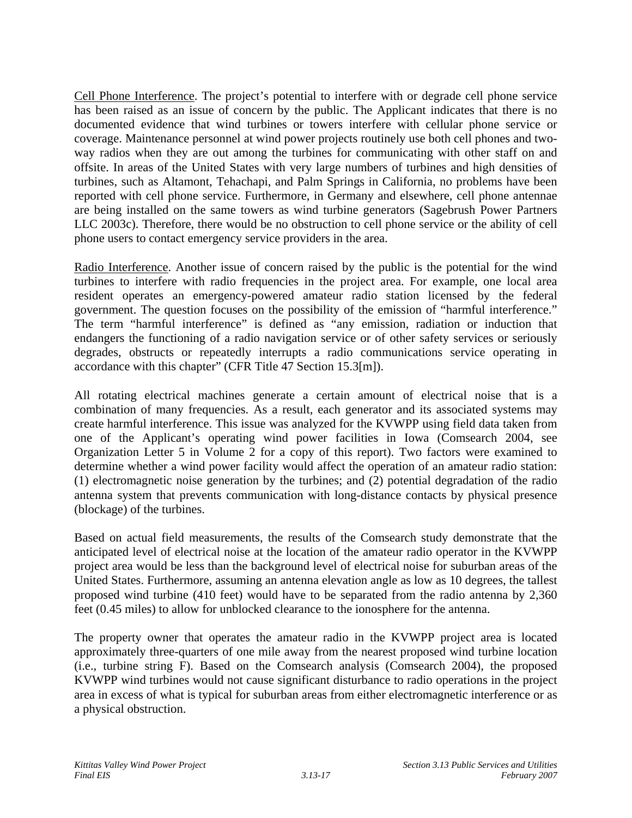Cell Phone Interference. The project's potential to interfere with or degrade cell phone service has been raised as an issue of concern by the public. The Applicant indicates that there is no documented evidence that wind turbines or towers interfere with cellular phone service or coverage. Maintenance personnel at wind power projects routinely use both cell phones and twoway radios when they are out among the turbines for communicating with other staff on and offsite. In areas of the United States with very large numbers of turbines and high densities of turbines, such as Altamont, Tehachapi, and Palm Springs in California, no problems have been reported with cell phone service. Furthermore, in Germany and elsewhere, cell phone antennae are being installed on the same towers as wind turbine generators (Sagebrush Power Partners LLC 2003c). Therefore, there would be no obstruction to cell phone service or the ability of cell phone users to contact emergency service providers in the area.

Radio Interference. Another issue of concern raised by the public is the potential for the wind turbines to interfere with radio frequencies in the project area. For example, one local area resident operates an emergency-powered amateur radio station licensed by the federal government. The question focuses on the possibility of the emission of "harmful interference." The term "harmful interference" is defined as "any emission, radiation or induction that endangers the functioning of a radio navigation service or of other safety services or seriously degrades, obstructs or repeatedly interrupts a radio communications service operating in accordance with this chapter" (CFR Title 47 Section 15.3[m]).

All rotating electrical machines generate a certain amount of electrical noise that is a combination of many frequencies. As a result, each generator and its associated systems may create harmful interference. This issue was analyzed for the KVWPP using field data taken from one of the Applicant's operating wind power facilities in Iowa (Comsearch 2004, see Organization Letter 5 in Volume 2 for a copy of this report). Two factors were examined to determine whether a wind power facility would affect the operation of an amateur radio station: (1) electromagnetic noise generation by the turbines; and (2) potential degradation of the radio antenna system that prevents communication with long-distance contacts by physical presence (blockage) of the turbines.

Based on actual field measurements, the results of the Comsearch study demonstrate that the anticipated level of electrical noise at the location of the amateur radio operator in the KVWPP project area would be less than the background level of electrical noise for suburban areas of the United States. Furthermore, assuming an antenna elevation angle as low as 10 degrees, the tallest proposed wind turbine (410 feet) would have to be separated from the radio antenna by 2,360 feet (0.45 miles) to allow for unblocked clearance to the ionosphere for the antenna.

The property owner that operates the amateur radio in the KVWPP project area is located approximately three-quarters of one mile away from the nearest proposed wind turbine location (i.e., turbine string F). Based on the Comsearch analysis (Comsearch 2004), the proposed KVWPP wind turbines would not cause significant disturbance to radio operations in the project area in excess of what is typical for suburban areas from either electromagnetic interference or as a physical obstruction.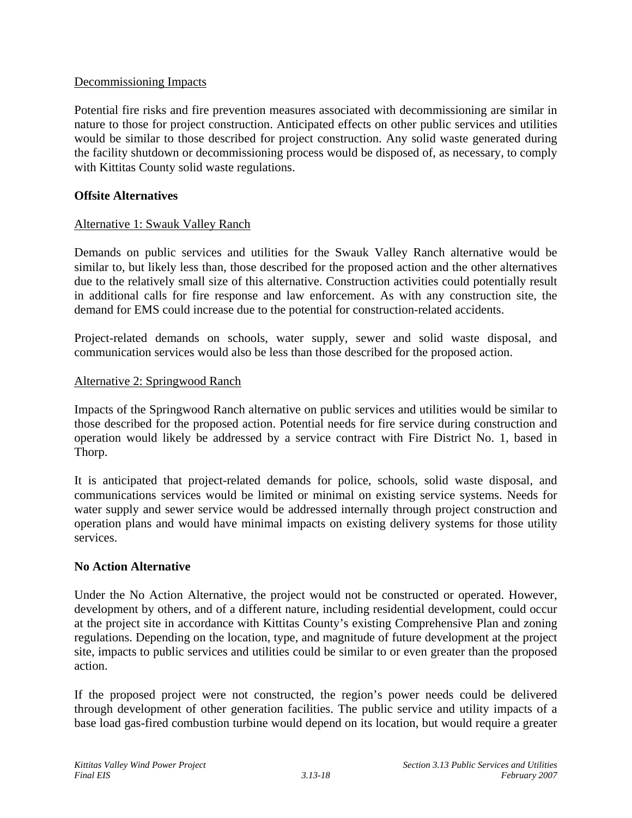### Decommissioning Impacts

Potential fire risks and fire prevention measures associated with decommissioning are similar in nature to those for project construction. Anticipated effects on other public services and utilities would be similar to those described for project construction. Any solid waste generated during the facility shutdown or decommissioning process would be disposed of, as necessary, to comply with Kittitas County solid waste regulations.

### **Offsite Alternatives**

### Alternative 1: Swauk Valley Ranch

Demands on public services and utilities for the Swauk Valley Ranch alternative would be similar to, but likely less than, those described for the proposed action and the other alternatives due to the relatively small size of this alternative. Construction activities could potentially result in additional calls for fire response and law enforcement. As with any construction site, the demand for EMS could increase due to the potential for construction-related accidents.

Project-related demands on schools, water supply, sewer and solid waste disposal, and communication services would also be less than those described for the proposed action.

#### Alternative 2: Springwood Ranch

Impacts of the Springwood Ranch alternative on public services and utilities would be similar to those described for the proposed action. Potential needs for fire service during construction and operation would likely be addressed by a service contract with Fire District No. 1, based in Thorp.

It is anticipated that project-related demands for police, schools, solid waste disposal, and communications services would be limited or minimal on existing service systems. Needs for water supply and sewer service would be addressed internally through project construction and operation plans and would have minimal impacts on existing delivery systems for those utility services.

#### **No Action Alternative**

Under the No Action Alternative, the project would not be constructed or operated. However, development by others, and of a different nature, including residential development, could occur at the project site in accordance with Kittitas County's existing Comprehensive Plan and zoning regulations. Depending on the location, type, and magnitude of future development at the project site, impacts to public services and utilities could be similar to or even greater than the proposed action.

If the proposed project were not constructed, the region's power needs could be delivered through development of other generation facilities. The public service and utility impacts of a base load gas-fired combustion turbine would depend on its location, but would require a greater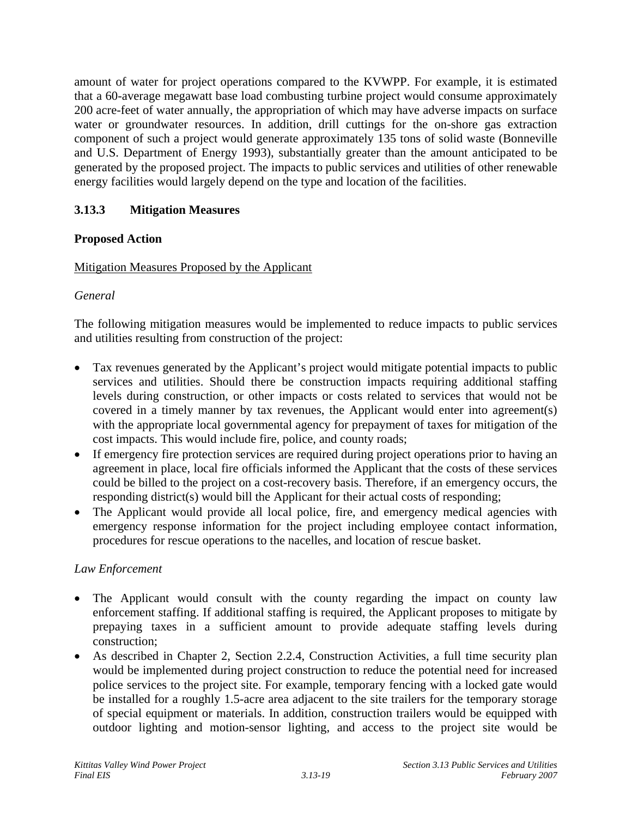amount of water for project operations compared to the KVWPP. For example, it is estimated that a 60-average megawatt base load combusting turbine project would consume approximately 200 acre-feet of water annually, the appropriation of which may have adverse impacts on surface water or groundwater resources. In addition, drill cuttings for the on-shore gas extraction component of such a project would generate approximately 135 tons of solid waste (Bonneville and U.S. Department of Energy 1993), substantially greater than the amount anticipated to be generated by the proposed project. The impacts to public services and utilities of other renewable energy facilities would largely depend on the type and location of the facilities.

# **3.13.3 Mitigation Measures**

## **Proposed Action**

## Mitigation Measures Proposed by the Applicant

## *General*

The following mitigation measures would be implemented to reduce impacts to public services and utilities resulting from construction of the project:

- Tax revenues generated by the Applicant's project would mitigate potential impacts to public services and utilities. Should there be construction impacts requiring additional staffing levels during construction, or other impacts or costs related to services that would not be covered in a timely manner by tax revenues, the Applicant would enter into agreement(s) with the appropriate local governmental agency for prepayment of taxes for mitigation of the cost impacts. This would include fire, police, and county roads;
- If emergency fire protection services are required during project operations prior to having an agreement in place, local fire officials informed the Applicant that the costs of these services could be billed to the project on a cost-recovery basis. Therefore, if an emergency occurs, the responding district(s) would bill the Applicant for their actual costs of responding;
- The Applicant would provide all local police, fire, and emergency medical agencies with emergency response information for the project including employee contact information, procedures for rescue operations to the nacelles, and location of rescue basket.

## *Law Enforcement*

- The Applicant would consult with the county regarding the impact on county law enforcement staffing. If additional staffing is required, the Applicant proposes to mitigate by prepaying taxes in a sufficient amount to provide adequate staffing levels during construction;  $\bullet$
- As described in Chapter 2, Section 2.2.4, Construction Activities, a full time security plan would be implemented during project construction to reduce the potential need for increased police services to the project site. For example, temporary fencing with a locked gate would be installed for a roughly 1.5-acre area adjacent to the site trailers for the temporary storage of special equipment or materials. In addition, construction trailers would be equipped with outdoor lighting and motion-sensor lighting, and access to the project site would be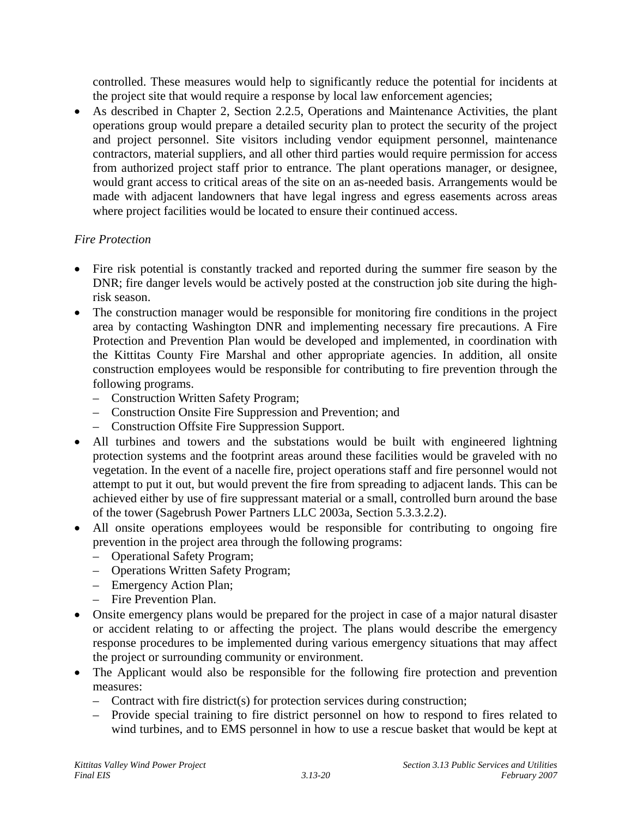controlled. These measures would help to significantly reduce the potential for incidents at the project site that would require a response by local law enforcement agencies;

As described in Chapter 2, Section 2.2.5, Operations and Maintenance Activities, the plant operations group would prepare a detailed security plan to protect the security of the project and project personnel. Site visitors including vendor equipment personnel, maintenance contractors, material suppliers, and all other third parties would require permission for access from authorized project staff prior to entrance. The plant operations manager, or designee, would grant access to critical areas of the site on an as-needed basis. Arrangements would be made with adjacent landowners that have legal ingress and egress easements across areas where project facilities would be located to ensure their continued access. •

## *Fire Protection*

- Fire risk potential is constantly tracked and reported during the summer fire season by the DNR; fire danger levels would be actively posted at the construction job site during the highrisk season.
- The construction manager would be responsible for monitoring fire conditions in the project area by contacting Washington DNR and implementing necessary fire precautions. A Fire Protection and Prevention Plan would be developed and implemented, in coordination with the Kittitas County Fire Marshal and other appropriate agencies. In addition, all onsite construction employees would be responsible for contributing to fire prevention through the following programs.
	- Construction Written Safety Program;
	- Construction Onsite Fire Suppression and Prevention; and
	- Construction Offsite Fire Suppression Support.
- All turbines and towers and the substations would be built with engineered lightning protection systems and the footprint areas around these facilities would be graveled with no vegetation. In the event of a nacelle fire, project operations staff and fire personnel would not attempt to put it out, but would prevent the fire from spreading to adjacent lands. This can be achieved either by use of fire suppressant material or a small, controlled burn around the base of the tower (Sagebrush Power Partners LLC 2003a, Section 5.3.3.2.2).
- All onsite operations employees would be responsible for contributing to ongoing fire prevention in the project area through the following programs:
	- Operational Safety Program;
	- Operations Written Safety Program;
	- Emergency Action Plan;
	- Fire Prevention Plan.
- Onsite emergency plans would be prepared for the project in case of a major natural disaster or accident relating to or affecting the project. The plans would describe the emergency response procedures to be implemented during various emergency situations that may affect the project or surrounding community or environment.
- The Applicant would also be responsible for the following fire protection and prevention measures:
	- Contract with fire district(s) for protection services during construction;
	- Provide special training to fire district personnel on how to respond to fires related to wind turbines, and to EMS personnel in how to use a rescue basket that would be kept at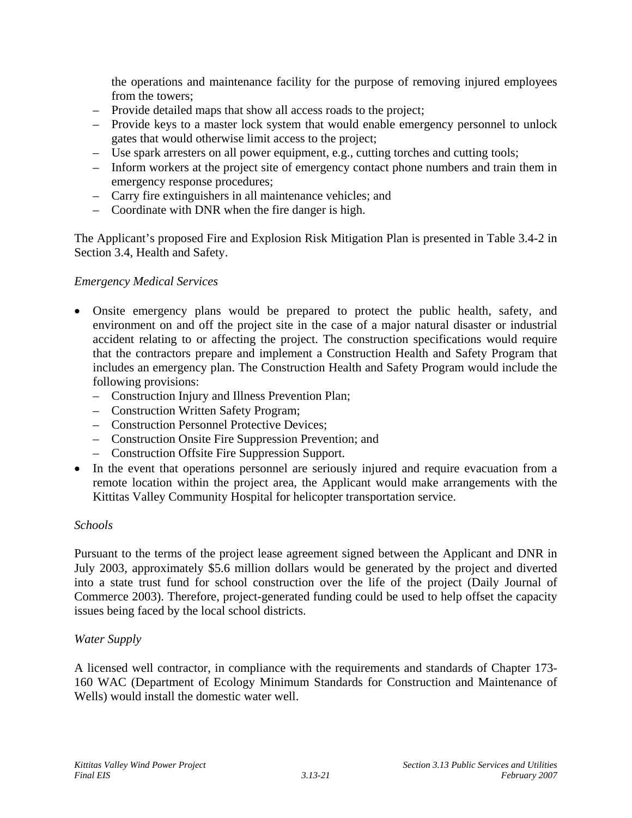the operations and maintenance facility for the purpose of removing injured employees from the towers;

- Provide detailed maps that show all access roads to the project;
- Provide keys to a master lock system that would enable emergency personnel to unlock gates that would otherwise limit access to the project;
- Use spark arresters on all power equipment, e.g., cutting torches and cutting tools;
- Inform workers at the project site of emergency contact phone numbers and train them in emergency response procedures;
- Carry fire extinguishers in all maintenance vehicles; and
- Coordinate with DNR when the fire danger is high.

The Applicant's proposed Fire and Explosion Risk Mitigation Plan is presented in Table 3.4-2 in Section 3.4, Health and Safety.

#### *Emergency Medical Services*

- Onsite emergency plans would be prepared to protect the public health, safety, and environment on and off the project site in the case of a major natural disaster or industrial accident relating to or affecting the project. The construction specifications would require that the contractors prepare and implement a Construction Health and Safety Program that includes an emergency plan. The Construction Health and Safety Program would include the following provisions:
	- Construction Injury and Illness Prevention Plan;
	- Construction Written Safety Program;
	- Construction Personnel Protective Devices;
	- Construction Onsite Fire Suppression Prevention; and
	- Construction Offsite Fire Suppression Support.
- In the event that operations personnel are seriously injured and require evacuation from a remote location within the project area, the Applicant would make arrangements with the Kittitas Valley Community Hospital for helicopter transportation service.

#### *Schools*

Pursuant to the terms of the project lease agreement signed between the Applicant and DNR in July 2003, approximately \$5.6 million dollars would be generated by the project and diverted into a state trust fund for school construction over the life of the project (Daily Journal of Commerce 2003). Therefore, project-generated funding could be used to help offset the capacity issues being faced by the local school districts.

#### *Water Supply*

A licensed well contractor, in compliance with the requirements and standards of Chapter 173- 160 WAC (Department of Ecology Minimum Standards for Construction and Maintenance of Wells) would install the domestic water well.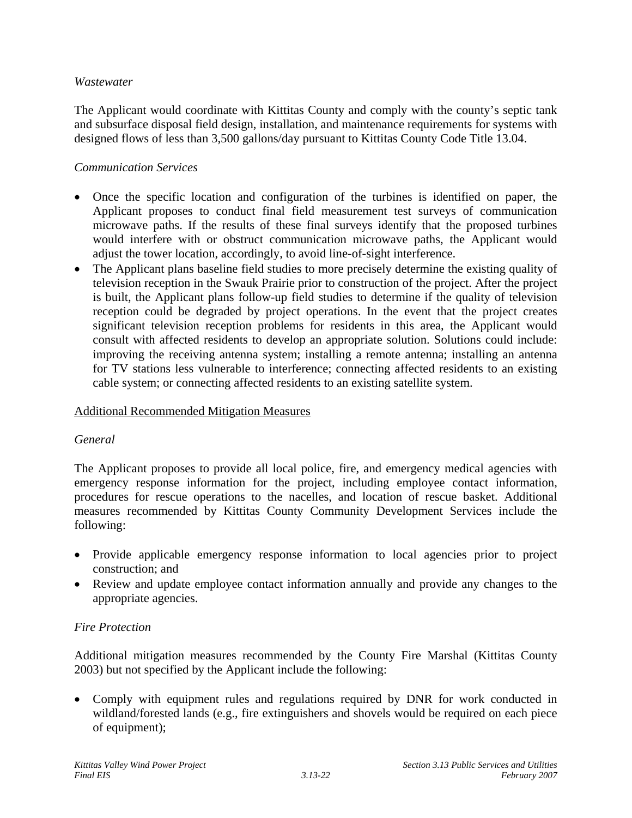### *Wastewater*

The Applicant would coordinate with Kittitas County and comply with the county's septic tank and subsurface disposal field design, installation, and maintenance requirements for systems with designed flows of less than 3,500 gallons/day pursuant to Kittitas County Code Title 13.04.

### *Communication Services*

- Once the specific location and configuration of the turbines is identified on paper, the Applicant proposes to conduct final field measurement test surveys of communication microwave paths. If the results of these final surveys identify that the proposed turbines would interfere with or obstruct communication microwave paths, the Applicant would adjust the tower location, accordingly, to avoid line-of-sight interference.
- The Applicant plans baseline field studies to more precisely determine the existing quality of television reception in the Swauk Prairie prior to construction of the project. After the project is built, the Applicant plans follow-up field studies to determine if the quality of television reception could be degraded by project operations. In the event that the project creates significant television reception problems for residents in this area, the Applicant would consult with affected residents to develop an appropriate solution. Solutions could include: improving the receiving antenna system; installing a remote antenna; installing an antenna for TV stations less vulnerable to interference; connecting affected residents to an existing cable system; or connecting affected residents to an existing satellite system.

#### Additional Recommended Mitigation Measures

#### *General*

The Applicant proposes to provide all local police, fire, and emergency medical agencies with emergency response information for the project, including employee contact information, procedures for rescue operations to the nacelles, and location of rescue basket. Additional measures recommended by Kittitas County Community Development Services include the following:

- Provide applicable emergency response information to local agencies prior to project construction; and
- Review and update employee contact information annually and provide any changes to the appropriate agencies.

## *Fire Protection*

Additional mitigation measures recommended by the County Fire Marshal (Kittitas County 2003) but not specified by the Applicant include the following:

• Comply with equipment rules and regulations required by DNR for work conducted in wildland/forested lands (e.g., fire extinguishers and shovels would be required on each piece of equipment);